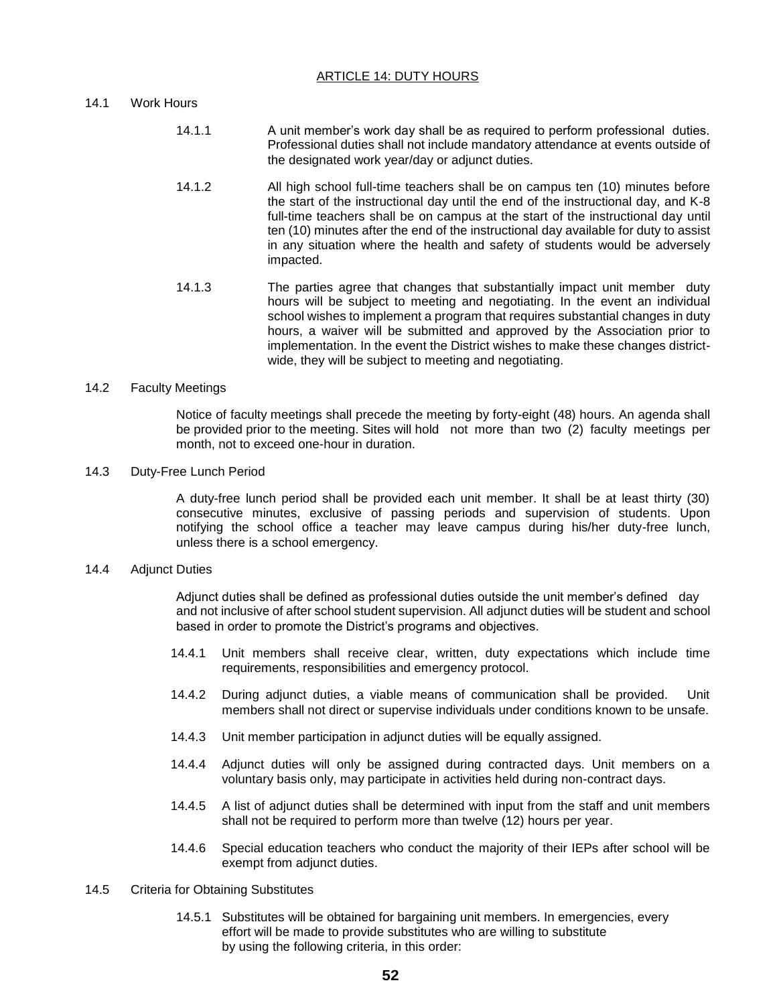## ARTICLE 14: DUTY HOURS

# 14.1 Work Hours

- 14.1.1 A unit member's work day shall be as required to perform professional duties. Professional duties shall not include mandatory attendance at events outside of the designated work year/day or adjunct duties.
- 14.1.2 All high school full-time teachers shall be on campus ten (10) minutes before the start of the instructional day until the end of the instructional day, and K-8 full-time teachers shall be on campus at the start of the instructional day until ten (10) minutes after the end of the instructional day available for duty to assist in any situation where the health and safety of students would be adversely impacted.
- 14.1.3 The parties agree that changes that substantially impact unit member duty hours will be subject to meeting and negotiating. In the event an individual school wishes to implement a program that requires substantial changes in duty hours, a waiver will be submitted and approved by the Association prior to implementation. In the event the District wishes to make these changes districtwide, they will be subject to meeting and negotiating.

### 14.2 Faculty Meetings

Notice of faculty meetings shall precede the meeting by forty-eight (48) hours. An agenda shall be provided prior to the meeting. Sites will hold not more than two (2) faculty meetings per month, not to exceed one-hour in duration.

### 14.3 Duty-Free Lunch Period

A duty-free lunch period shall be provided each unit member. It shall be at least thirty (30) consecutive minutes, exclusive of passing periods and supervision of students. Upon notifying the school office a teacher may leave campus during his/her duty-free lunch, unless there is a school emergency.

### 14.4 Adjunct Duties

Adjunct duties shall be defined as professional duties outside the unit member's defined day and not inclusive of after school student supervision. All adjunct duties will be student and school based in order to promote the District's programs and objectives.

- 14.4.1 Unit members shall receive clear, written, duty expectations which include time requirements, responsibilities and emergency protocol.
- 14.4.2 During adjunct duties, a viable means of communication shall be provided. Unit members shall not direct or supervise individuals under conditions known to be unsafe.
- 14.4.3 Unit member participation in adjunct duties will be equally assigned.
- 14.4.4 Adjunct duties will only be assigned during contracted days. Unit members on a voluntary basis only, may participate in activities held during non-contract days.
- 14.4.5 A list of adjunct duties shall be determined with input from the staff and unit members shall not be required to perform more than twelve (12) hours per year.
- 14.4.6 Special education teachers who conduct the majority of their IEPs after school will be exempt from adjunct duties.
- 14.5 Criteria for Obtaining Substitutes
	- 14.5.1 Substitutes will be obtained for bargaining unit members. In emergencies, every effort will be made to provide substitutes who are willing to substitute by using the following criteria, in this order: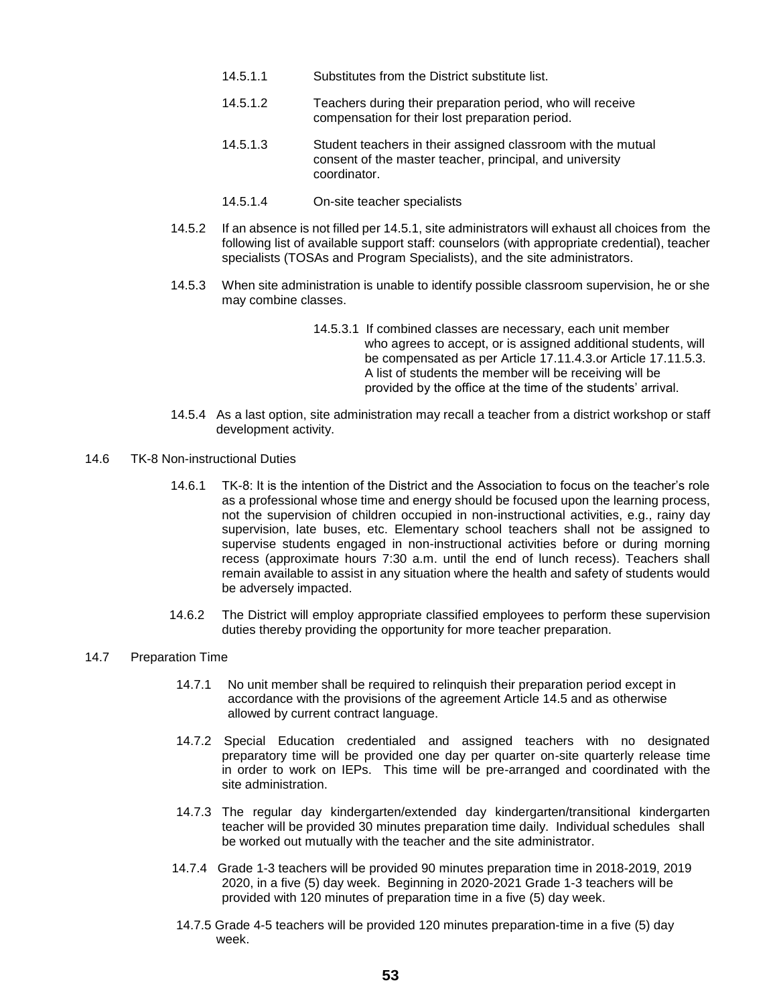- 14.5.1.1 Substitutes from the District substitute list.
- 14.5.1.2 Teachers during their preparation period, who will receive compensation for their lost preparation period.
- 14.5.1.3 Student teachers in their assigned classroom with the mutual consent of the master teacher, principal, and university coordinator.
- 14.5.1.4 On-site teacher specialists
- 14.5.2 If an absence is not filled per 14.5.1, site administrators will exhaust all choices from the following list of available support staff: counselors (with appropriate credential), teacher specialists (TOSAs and Program Specialists), and the site administrators.
- 14.5.3 When site administration is unable to identify possible classroom supervision, he or she may combine classes.
	- 14.5.3.1 If combined classes are necessary, each unit member who agrees to accept, or is assigned additional students, will be compensated as per Article 17.11.4.3.or Article 17.11.5.3. A list of students the member will be receiving will be provided by the office at the time of the students' arrival.
- 14.5.4 As a last option, site administration may recall a teacher from a district workshop or staff development activity.
- 14.6 TK-8 Non-instructional Duties
	- 14.6.1 TK-8: It is the intention of the District and the Association to focus on the teacher's role as a professional whose time and energy should be focused upon the learning process, not the supervision of children occupied in non-instructional activities, e.g., rainy day supervision, late buses, etc. Elementary school teachers shall not be assigned to supervise students engaged in non-instructional activities before or during morning recess (approximate hours 7:30 a.m. until the end of lunch recess). Teachers shall remain available to assist in any situation where the health and safety of students would be adversely impacted.
	- 14.6.2 The District will employ appropriate classified employees to perform these supervision duties thereby providing the opportunity for more teacher preparation.

## 14.7 Preparation Time

- 14.7.1 No unit member shall be required to relinquish their preparation period except in accordance with the provisions of the agreement Article 14.5 and as otherwise allowed by current contract language.
- 14.7.2 Special Education credentialed and assigned teachers with no designated preparatory time will be provided one day per quarter on-site quarterly release time in order to work on IEPs. This time will be pre-arranged and coordinated with the site administration.
- 14.7.3 The regular day kindergarten/extended day kindergarten/transitional kindergarten teacher will be provided 30 minutes preparation time daily. Individual schedules shall be worked out mutually with the teacher and the site administrator.
- 14.7.4 Grade 1-3 teachers will be provided 90 minutes preparation time in 2018-2019, 2019 2020, in a five (5) day week. Beginning in 2020-2021 Grade 1-3 teachers will be provided with 120 minutes of preparation time in a five (5) day week.
- 14.7.5 Grade 4-5 teachers will be provided 120 minutes preparation-time in a five (5) day week.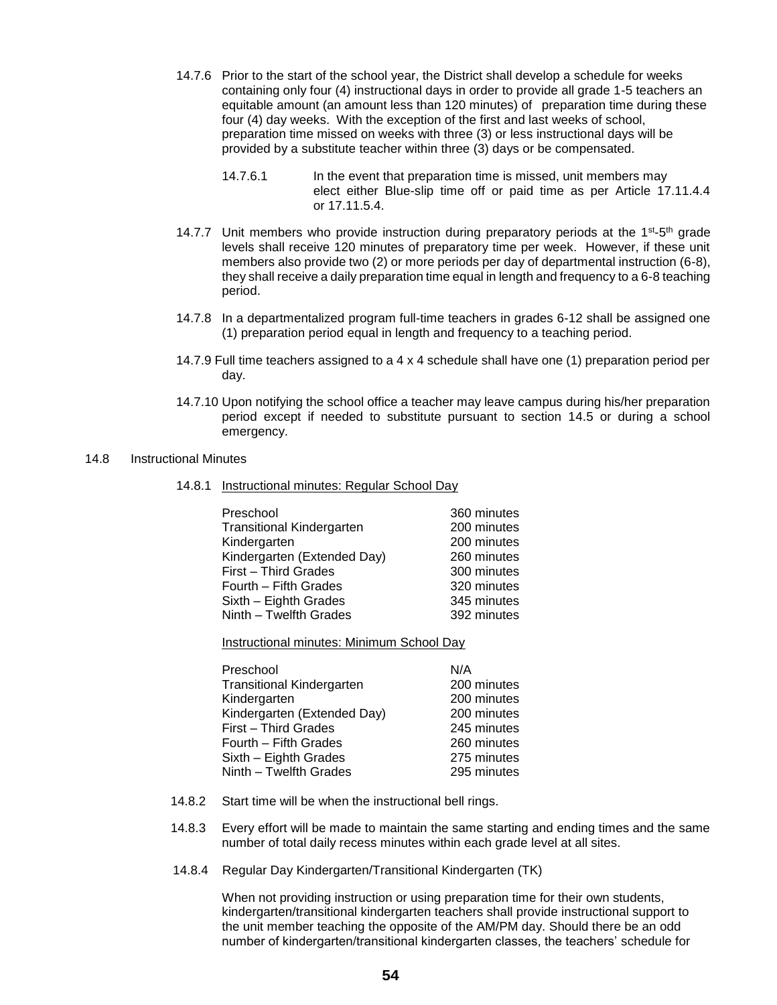- 14.7.6 Prior to the start of the school year, the District shall develop a schedule for weeks containing only four (4) instructional days in order to provide all grade 1-5 teachers an equitable amount (an amount less than 120 minutes) of preparation time during these four (4) day weeks. With the exception of the first and last weeks of school, preparation time missed on weeks with three (3) or less instructional days will be provided by a substitute teacher within three (3) days or be compensated.
	- 14.7.6.1 In the event that preparation time is missed, unit members may elect either Blue-slip time off or paid time as per Article 17.11.4.4 or 17.11.5.4.
- 14.7.7 Unit members who provide instruction during preparatory periods at the  $1^{st}$ -5<sup>th</sup> grade levels shall receive 120 minutes of preparatory time per week. However, if these unit members also provide two (2) or more periods per day of departmental instruction (6-8), they shall receive a daily preparation time equal in length and frequency to a 6-8 teaching period.
- 14.7.8 In a departmentalized program full-time teachers in grades 6-12 shall be assigned one (1) preparation period equal in length and frequency to a teaching period.
- 14.7.9 Full time teachers assigned to a 4 x 4 schedule shall have one (1) preparation period per day.
- 14.7.10 Upon notifying the school office a teacher may leave campus during his/her preparation period except if needed to substitute pursuant to section 14.5 or during a school emergency.

### 14.8 Instructional Minutes

14.8.1 Instructional minutes: Regular School Day

| Preschool                        | 360 minutes |
|----------------------------------|-------------|
| <b>Transitional Kindergarten</b> | 200 minutes |
| Kindergarten                     | 200 minutes |
| Kindergarten (Extended Day)      | 260 minutes |
| First - Third Grades             | 300 minutes |
| Fourth - Fifth Grades            | 320 minutes |
| Sixth - Eighth Grades            | 345 minutes |
| Ninth - Twelfth Grades           | 392 minutes |

Instructional minutes: Minimum School Day

| Preschool                        | N/A         |
|----------------------------------|-------------|
| <b>Transitional Kindergarten</b> | 200 minutes |
| Kindergarten                     | 200 minutes |
| Kindergarten (Extended Day)      | 200 minutes |
| First - Third Grades             | 245 minutes |
| Fourth - Fifth Grades            | 260 minutes |
| Sixth - Eighth Grades            | 275 minutes |
| Ninth - Twelfth Grades           | 295 minutes |

- 14.8.2 Start time will be when the instructional bell rings.
- 14.8.3 Every effort will be made to maintain the same starting and ending times and the same number of total daily recess minutes within each grade level at all sites.
- 14.8.4 Regular Day Kindergarten/Transitional Kindergarten (TK)

When not providing instruction or using preparation time for their own students, kindergarten/transitional kindergarten teachers shall provide instructional support to the unit member teaching the opposite of the AM/PM day. Should there be an odd number of kindergarten/transitional kindergarten classes, the teachers' schedule for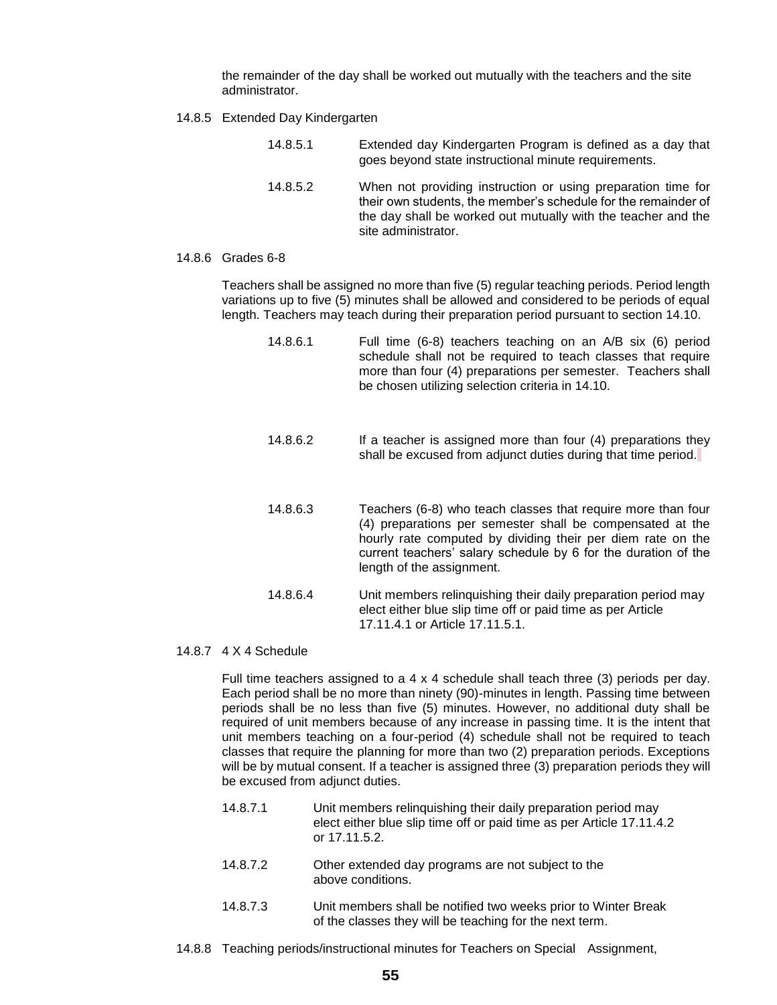the remainder of the day shall be worked out mutually with the teachers and the site administrator.

14.8.5 Extended Day Kindergarten

| 14.8.5.1 | Extended day Kindergarten Program is defined as a day that<br>goes beyond state instructional minute requirements.                                                                                                     |
|----------|------------------------------------------------------------------------------------------------------------------------------------------------------------------------------------------------------------------------|
| 14.8.5.2 | When not providing instruction or using preparation time for<br>their own students, the member's schedule for the remainder of<br>the day shall be worked out mutually with the teacher and the<br>site administrator. |

### 14.8.6 Grades 6-8

Teachers shall be assigned no more than five (5) regular teaching periods. Period length variations up to five (5) minutes shall be allowed and considered to be periods of equal length. Teachers may teach during their preparation period pursuant to section 14.10.

- 14.8.6.1 Full time (6-8) teachers teaching on an A/B six (6) period schedule shall not be required to teach classes that require more than four (4) preparations per semester. Teachers shall be chosen utilizing selection criteria in 14.10.
- 14.8.6.2 If a teacher is assigned more than four (4) preparations they shall be excused from adjunct duties during that time period.
- 14.8.6.3 Teachers (6-8) who teach classes that require more than four (4) preparations per semester shall be compensated at the hourly rate computed by dividing their per diem rate on the current teachers' salary schedule by 6 for the duration of the length of the assignment.
- 14.8.6.4 Unit members relinquishing their daily preparation period may elect either blue slip time off or paid time as per Article 17.11.4.1 or Article 17.11.5.1.
- 14.8.7 4 X 4 Schedule

Full time teachers assigned to a  $4 \times 4$  schedule shall teach three (3) periods per day. Each period shall be no more than ninety (90)-minutes in length. Passing time between periods shall be no less than five (5) minutes. However, no additional duty shall be required of unit members because of any increase in passing time. It is the intent that unit members teaching on a four-period (4) schedule shall not be required to teach classes that require the planning for more than two (2) preparation periods. Exceptions will be by mutual consent. If a teacher is assigned three (3) preparation periods they will be excused from adjunct duties.

- 14.8.7.1 Unit members relinquishing their daily preparation period may elect either blue slip time off or paid time as per Article 17.11.4.2 or 17.11.5.2.
- 14.8.7.2 Other extended day programs are not subject to the above conditions.
- 14.8.7.3 Unit members shall be notified two weeks prior to Winter Break of the classes they will be teaching for the next term.
- 14.8.8 Teaching periods/instructional minutes for Teachers on Special Assignment,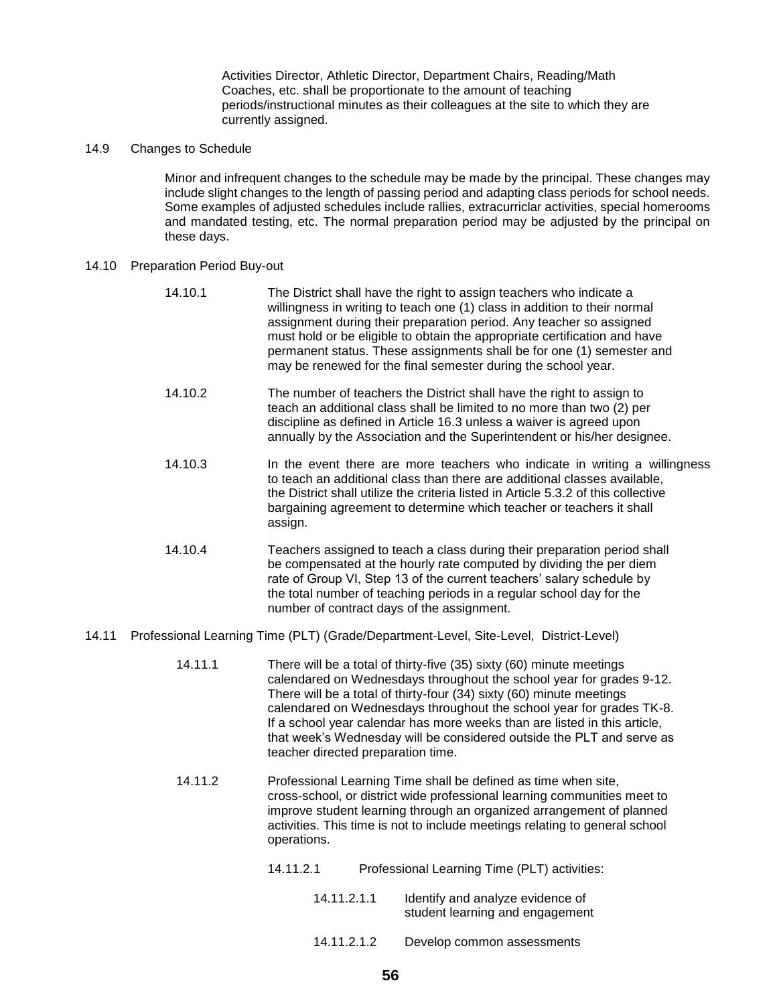Activities Director, Athletic Director, Department Chairs, Reading/Math Coaches, etc. shall be proportionate to the amount of teaching periods/instructional minutes as their colleagues at the site to which they are currently assigned.

# 14.9 Changes to Schedule

Minor and infrequent changes to the schedule may be made by the principal. These changes may include slight changes to the length of passing period and adapting class periods for school needs. Some examples of adjusted schedules include rallies, extracurriclar activities, special homerooms and mandated testing, etc. The normal preparation period may be adjusted by the principal on these days.

### 14.10 Preparation Period Buy-out

| 14.10.1 | The District shall have the right to assign teachers who indicate a<br>willingness in writing to teach one (1) class in addition to their normal<br>assignment during their preparation period. Any teacher so assigned<br>must hold or be eligible to obtain the appropriate certification and have<br>permanent status. These assignments shall be for one (1) semester and<br>may be renewed for the final semester during the school year. |
|---------|------------------------------------------------------------------------------------------------------------------------------------------------------------------------------------------------------------------------------------------------------------------------------------------------------------------------------------------------------------------------------------------------------------------------------------------------|
| 14.10.2 | The number of teachers the District shall have the right to assign to<br>teach an additional class shall be limited to no more than two (2) per<br>discipline as defined in Article 16.3 unless a waiver is agreed upon<br>annually by the Association and the Superintendent or his/her designee.                                                                                                                                             |
| 14.10.3 | In the event there are more teachers who indicate in writing a willingness<br>to teach an additional class than there are additional classes available,<br>the District shall utilize the criteria listed in Article 5.3.2 of this collective<br>bargaining agreement to determine which teacher or teachers it shall<br>assign.                                                                                                               |
| 14.10.4 | Teachers assigned to teach a class during their preparation period shall<br>be compensated at the hourly rate computed by dividing the per diem<br>rate of Group VI, Step 13 of the current teachers' salary schedule by<br>the total number of teaching periods in a regular school day for the<br>number of contract days of the assignment.                                                                                                 |

### 14.11 Professional Learning Time (PLT) (Grade/Department-Level, Site-Level, District-Level)

- 14.11.1 There will be a total of thirty-five (35) sixty (60) minute meetings calendared on Wednesdays throughout the school year for grades 9-12. There will be a total of thirty-four (34) sixty (60) minute meetings calendared on Wednesdays throughout the school year for grades TK-8. If a school year calendar has more weeks than are listed in this article, that week's Wednesday will be considered outside the PLT and serve as teacher directed preparation time.
- 14.11.2 Professional Learning Time shall be defined as time when site, cross-school, or district wide professional learning communities meet to improve student learning through an organized arrangement of planned activities. This time is not to include meetings relating to general school operations.
	- 14.11.2.1 Professional Learning Time (PLT) activities:
		- 14.11.2.1.1 Identify and analyze evidence of student learning and engagement
		- 14.11.2.1.2 Develop common assessments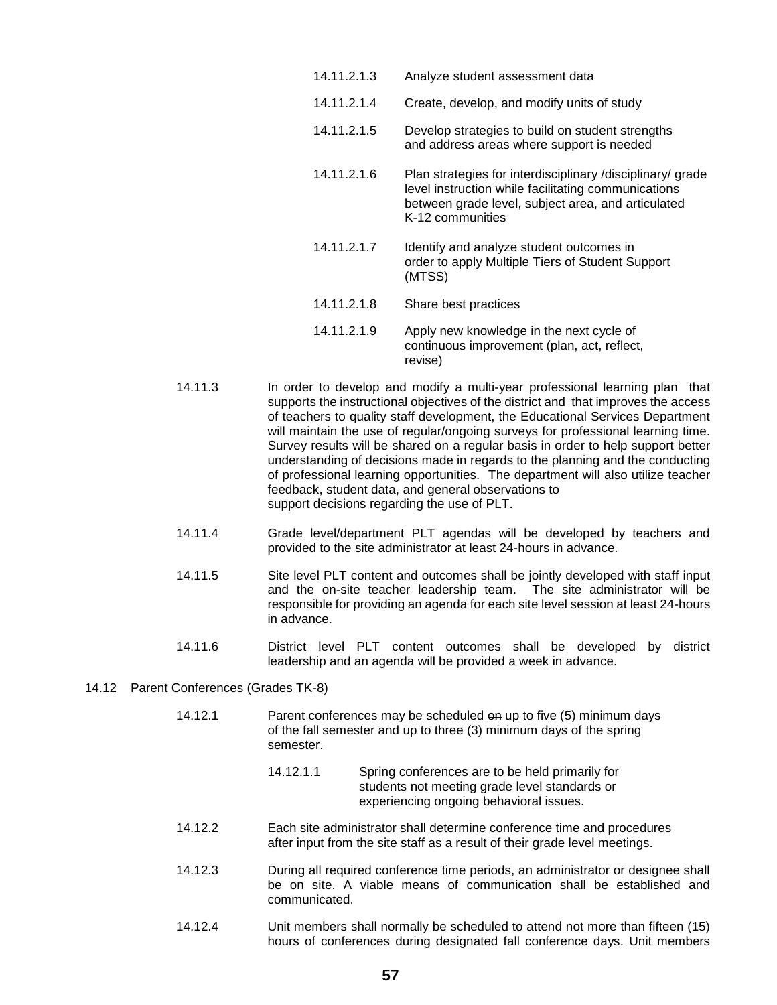14.11.2.1.4 Create, develop, and modify units of study 14.11.2.1.5 Develop strategies to build on student strengths and address areas where support is needed 14.11.2.1.6 Plan strategies for interdisciplinary /disciplinary/ grade level instruction while facilitating communications between grade level, subject area, and articulated K-12 communities 14.11.2.1.7 Identify and analyze student outcomes in order to apply Multiple Tiers of Student Support (MTSS) 14.11.2.1.8 Share best practices 14.11.2.1.9 Apply new knowledge in the next cycle of continuous improvement (plan, act, reflect,

14.11.2.1.3 Analyze student assessment data

14.11.3 In order to develop and modify a multi-year professional learning plan that supports the instructional objectives of the district and that improves the access of teachers to quality staff development, the Educational Services Department will maintain the use of regular/ongoing surveys for professional learning time. Survey results will be shared on a regular basis in order to help support better understanding of decisions made in regards to the planning and the conducting of professional learning opportunities. The department will also utilize teacher feedback, student data, and general observations to support decisions regarding the use of PLT.

revise)

- 14.11.4 Grade level/department PLT agendas will be developed by teachers and provided to the site administrator at least 24-hours in advance.
- 14.11.5 Site level PLT content and outcomes shall be jointly developed with staff input and the on-site teacher leadership team. The site administrator will be responsible for providing an agenda for each site level session at least 24-hours in advance.
- 14.11.6 District level PLT content outcomes shall be developed by district leadership and an agenda will be provided a week in advance.

#### 14.12 Parent Conferences (Grades TK-8)

- 14.12.1 Parent conferences may be scheduled on up to five (5) minimum days of the fall semester and up to three (3) minimum days of the spring semester.
	- 14.12.1.1 Spring conferences are to be held primarily for students not meeting grade level standards or experiencing ongoing behavioral issues.
- 14.12.2 Each site administrator shall determine conference time and procedures after input from the site staff as a result of their grade level meetings.
- 14.12.3 During all required conference time periods, an administrator or designee shall be on site. A viable means of communication shall be established and communicated.
- 14.12.4 Unit members shall normally be scheduled to attend not more than fifteen (15) hours of conferences during designated fall conference days. Unit members